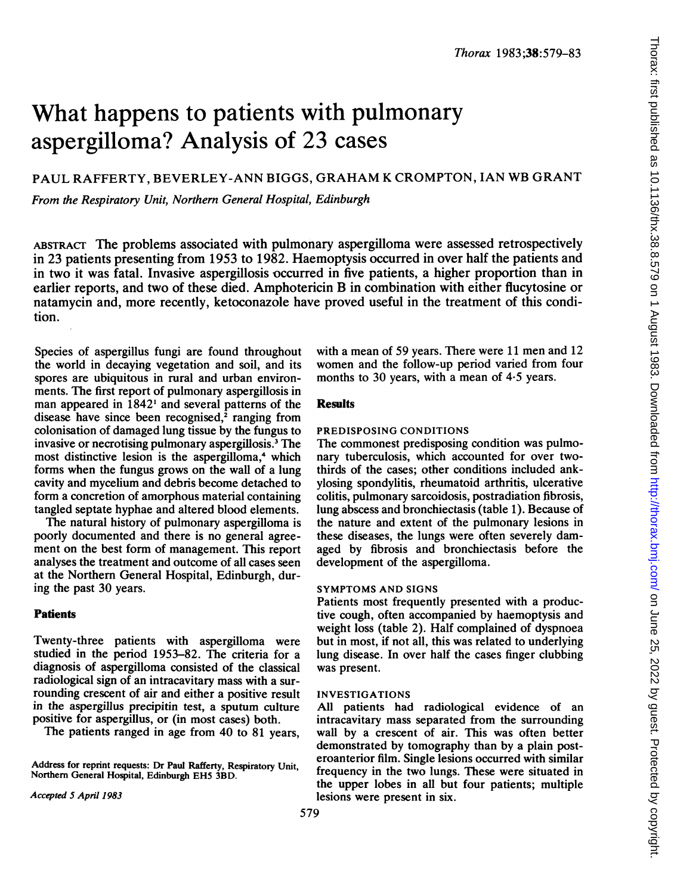# What happens to patients with pulmonary aspergilloma? Analysis of 23 cases

## PAUL RAFFERTY, BEVERLEY-ANN BIGGS, GRAHAM K CROMPTON, IAN WB GRANT

From the Respiratory Unit, Northern General Hospital, Edinburgh

ABSTRACT The problems associated with pulmonary aspergilloma were assessed retrospectively in 23 patients presenting from 1953 to 1982. Haemoptysis occurred in over half the patients and in two it was fatal. Invasive aspergillosis occurred in five patients, a higher proportion than in earlier reports, and two of these died. Amphotericin B in combination with either flucytosine or natamycin and, more recently, ketoconazole have proved useful in the treatment of this condition.

Species of aspergillus fungi are found throughout the world in decaying vegetation and soil, and its spores are ubiquitous in rural and urban environments. The first report of pulmonary aspergillosis in man appeared in 1842' and several patterns of the disease have since been recognised, $\lambda$  ranging from colonisation of damaged lung tissue by the fungus to invasive or necrotising pulmonary aspergillosis.3 The most distinctive lesion is the aspergilloma,<sup>4</sup> which forms when the fungus grows on the wall of a lung cavity and mycelium and debris become detached to form a concretion of amorphous material containing tangled septate hyphae and altered blood elements.

The natural history of pulmonary aspergilloma is poorly documented and there is no general agreement on the best form of management. This report analyses the treatment and outcome of all cases seen at the Northern General Hospital, Edinburgh, during the past 30 years.

### **Patients**

Twenty-three patients with aspergilloma were studied in the period 1953-82. The criteria for a diagnosis of aspergilloma consisted of the classical radiological sign of an intracavitary mass with a surrounding crescent of air and either a positive result in the aspergillus precipitin test, a sputum culture positive for aspergillus, or (in most cases) both.

The patients ranged in age from 40 to 81 years,

Address for reprint requests: Dr Paul Rafferty, Respiratory Unit, Northern General Hospital, Edinburgh EH5 3BD.

Accepted S April 1983

with a mean of 59 years. There were 11 men and 12 women and the follow-up period varied from four months to 30 years, with a mean of 4.5 years.

#### Results

#### PREDISPOSING CONDITIONS

The commonest predisposing condition was pulmonary tuberculosis, which accounted for over twothirds of the cases; other conditions included ankylosing spondylitis, rheumatoid arthritis, ulcerative colitis, pulmonary sarcoidosis, postradiation fibrosis, lung abscess and bronchiectasis (table 1). Because of the nature and extent of the pulmonary lesions in these diseases, the lungs were often severely damaged by fibrosis and bronchiectasis before the development of the aspergilloma.

#### SYMPTOMS AND SIGNS

Patients most frequently presented with a productive cough, often accompanied by haemoptysis and weight loss (table 2). Half complained of dyspnoea but in most, if not all, this was related to underlying lung disease. In over half the cases finger clubbing was present.

#### INVESTIGATIONS

All patients had radiological evidence of an intracavitary mass separated from the surrounding wall by a crescent of air. This was often better demonstrated by tomography than by a plain posteroanterior film. Single lesions occurred with similar frequency in the two lungs. These were situated in the upper lobes in all but four patients; multiple lesions were present in six.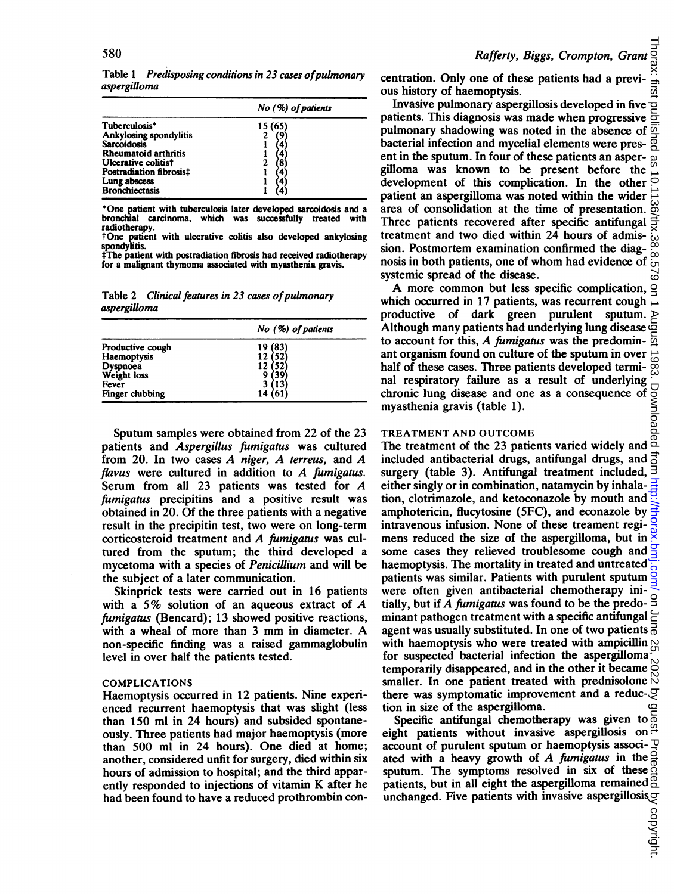Table 1 Predisposing conditions in 23 cases of pulmonary aspergilloma

|                                | $No$ (%) of patients |  |  |
|--------------------------------|----------------------|--|--|
| Tuberculosis*                  | 15 (65)              |  |  |
| Ankylosing spondylitis         |                      |  |  |
| <b>Sarcoidosis</b>             |                      |  |  |
| <b>Rheumatoid arthritis</b>    |                      |  |  |
| Ulcerative colitist            |                      |  |  |
| Postradiation fibrosis‡        |                      |  |  |
| Lung abscess<br>Bronchiectasis |                      |  |  |
|                                |                      |  |  |

\*One patient with tuberculosis later developed sarcoidosis and a bronchial carcinoma, which was successfully treated with radiotherapy.

tOne patient with ulcerative colitis also developed ankylosing spondylitis.

\*The patient with postradiation fibrosis had received radiotherapy for a malignant thymoma associated with myasthenia gravis.

Table 2 Clinical features in 23 cases of pulmonary aspergilloma

|                         | $No$ (%) of patients |  |  |
|-------------------------|----------------------|--|--|
| Productive cough        | 19 (83)              |  |  |
| Haemoptysis             | 12(52)               |  |  |
|                         | 12 (52)              |  |  |
| Dyspnoea<br>Weight loss |                      |  |  |
| Fever                   | (13)                 |  |  |
| Finger clubbing         | 14 (61)              |  |  |

Sputum samples were obtained from 22 of the 23 patients and Aspergillus fumigatus was cultured from 20. In two cases  $A$  niger,  $A$  terreus, and  $A$ flavus were cultured in addition to  $A$  fumigatus. Serum from all <sup>23</sup> patients was tested for A fumigatus precipitins and a positive result was obtained in 20. Of the three patients with a negative result in the precipitin test, two were on long-term corticosteroid treatment and A fumigatus was cultured from the sputum; the third developed a mycetoma with a species of Penicillium and will be the subject of a later communication.

Skinprick tests were carried out in 16 patients with a 5% solution of an aqueous extract of  $A$ fumigatus (Bencard); 13 showed positive reactions, with <sup>a</sup> wheal of more than <sup>3</sup> mm in diameter. A non-specific finding was a raised gammaglobulin level in over half the patients tested.

#### COMPLICATIONS

Haemoptysis occurred in 12 patients. Nine experienced recurrent haemoptysis that was slight (less than 150 ml in 24 hours) and subsided spontaneously. Three patients had major haemoptysis (more than 500 ml in 24 hours). One died at home; another, considered unfit for surgery, died within six hours of admission to hospital; and the third apparently responded to injections of vitamin K after he had been found to have a reduced prothrombin concentration. Only one of these patients had a previous history of haemoptysis.

Invasive pulmonary aspergillosis developed in five  $\sigma$ patients. This diagnosis was made when progressive 능 pulmonary shadowing was noted in the absence of gi bacterial infection and mycelial elements were present in the sputum. In four of these patients an aspergilloma was known to be present before the ਠੋ development of this complication. In the other  $\frac{1}{10}$  patient an aspergilloma was noted within the wider  $\frac{1}{10}$  area of consolidation at the time of presentation.  $\frac{1}{00}$ patient an aspergilioma was noted within the wider area of consolidation at the time of presentation. Three patients recovered after specific antifungal ੜ੍ਹ treatment and two died within 24 hours of admis-က်<br>(၁ sion. Postmortem examination confirmed the diagċ nosis in both patients, one of whom had evidence of systemic spread of the disease.

A more common but less specific complication,  $\triangleleft$ which occurred in 17 patients, was recurrent cough productive of dark green purulent sputum. ⋗ Although many patients had underlying lung disease  $\overline{\mathfrak{S}}$  to account for this. A fumigatus was the predominto account for this,  $A$  fumigatus was the predominant organism found on culture of the sputum in over half of these cases. Three patients developed terminal respiratory failure as a result of underlying Download chronic lung disease and one as a consequence of myasthenia gravis (table 1).

#### TREATMENT AND OUTCOME

The treatment of the 23 patients varied widely and  $\frac{\overline{0}}{2}$ included antibacterial drugs, antifungal drugs, and surgery (table 3). Antifungal treatment included, either singly or in combination, natamycin by inhalation, clotrimazole, and ketoconazole by mouth and amphotericin, flucytosine (5FC), and econazole by intravenous infusion. None of these treament regimens reduced the size of the aspergilloma, but in  $\frac{8}{3}$ some cases they relieved troublesome cough and  $\frac{6}{5}$ haemoptysis. The mortality in treated and untreated patients was similar. Patients with purulent sputum were often given antibacterial chemotherapy initially, but if A fumigatus was found to be the predo- $\frac{8}{5}$ minant pathogen treatment with a specific antifungal agent was usually substituted. In one of two patients  $\frac{3}{6}$ with haemoptysis who were treated with ampicillin  $\mathfrak{D}$ for suspected bacterial infection the aspergilloma temporarily disappeared, and in the other it became smaller. In one patient treated with prednisolone there was symptomatic improvement and a reduction in size of the aspergilloma. on June 25, 2022 by guest. Protected by copyright. <http://thorax.bmj.com/> Thorax: first published as 10.1136/thx.38.8.579 on 1 August 1983. Downloaded from

Specific antifungal chemotherapy was given to  $\overline{6}$ eight patients without invasive aspergillosis on. account of purulent sputum or haemoptysis associ- $\exists$ ated with a heavy growth of A fumigatus in the  $\frac{3}{4}$ sputum. The symptoms resolved in six of these  $\tilde{q}$ patients, but in all eight the aspergilloma remained  $\overline{9}$ unchanged. Five patients with invasive aspergillosis $\sigma$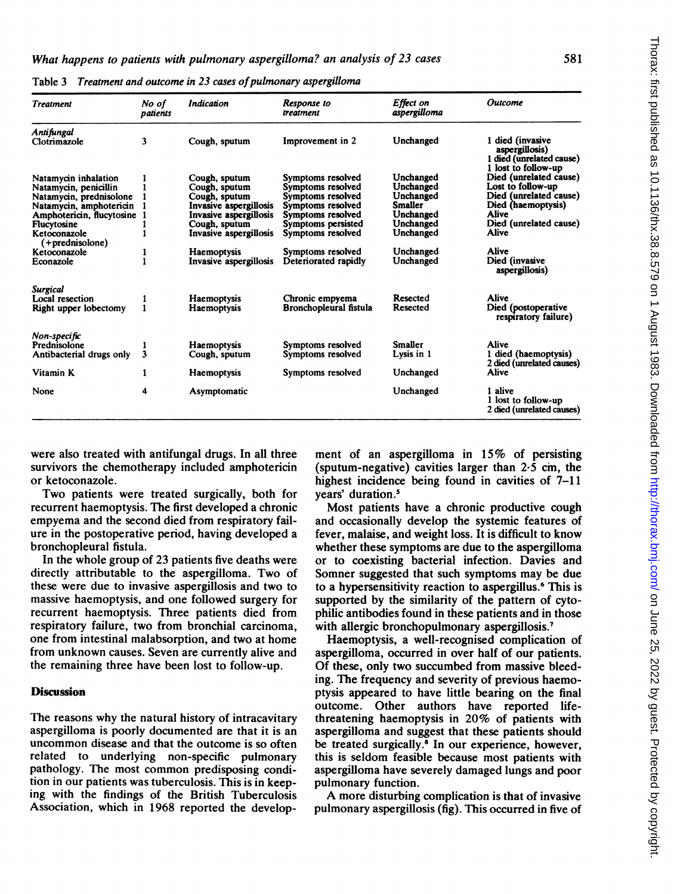| <b>Treatment</b>                                                                                                                                                | No of<br>patients | <b>Indication</b>                                                                                                                              | Response to<br>treatment                                                                                                                         | Effect on<br>aspergilloma                                                                    | Outcome                                                                                                                                        |
|-----------------------------------------------------------------------------------------------------------------------------------------------------------------|-------------------|------------------------------------------------------------------------------------------------------------------------------------------------|--------------------------------------------------------------------------------------------------------------------------------------------------|----------------------------------------------------------------------------------------------|------------------------------------------------------------------------------------------------------------------------------------------------|
| Antifungal<br>Clotrimazole                                                                                                                                      | 3                 | Cough, sputum                                                                                                                                  | Improvement in 2                                                                                                                                 | Unchanged                                                                                    | 1 died (invasive<br>aspergillosis)<br>1 died (unrelated cause)<br>1 lost to follow-up                                                          |
| Natamycin inhalation<br>Natamycin, penicillin<br>Natamycin, prednisolone<br>Natamycin, amphotericin<br>Amphotericin, flucytosine<br>Flucytosine<br>Ketoconazole |                   | Cough, sputum<br>Cough, sputum<br>Cough, sputum<br>Invasive aspergillosis<br>Invasive aspergillosis<br>Cough, sputum<br>Invasive aspergillosis | Symptoms resolved<br>Symptoms resolved<br>Symptoms resolved<br>Symptoms resolved<br>Symptoms resolved<br>Symptoms persisted<br>Symptoms resolved | Unchanged<br>Unchanged<br>Unchanged<br><b>Smaller</b><br>Unchanged<br>Unchanged<br>Unchanged | Died (unrelated cause)<br>Lost to follow-up<br>Died (unrelated cause)<br>Died (haemoptysis)<br><b>Alive</b><br>Died (unrelated cause)<br>Alive |
| (+prednisolone)<br>Ketoconazole<br>Econazole                                                                                                                    |                   | <b>Haemoptysis</b><br>Invasive aspergillosis                                                                                                   | Symptoms resolved<br>Deteriorated rapidly                                                                                                        | Unchanged<br>Unchanged                                                                       | <b>Alive</b><br>Died (invasive<br>aspergillosis)                                                                                               |
| <b>Surgical</b><br>Local resection<br>Right upper lobectomy                                                                                                     |                   | <b>Haemoptysis</b><br><b>Haemoptysis</b>                                                                                                       | Chronic empyema<br><b>Bronchopleural fistula</b>                                                                                                 | Resected<br>Resected                                                                         | Alive<br>Died (postoperative<br>respiratory failure)                                                                                           |
| Non-specific<br>Prednisolone<br>Antibacterial drugs only                                                                                                        | 3                 | <b>Haemoptysis</b><br>Cough, sputum                                                                                                            | Symptoms resolved<br>Symptoms resolved                                                                                                           | Smaller<br>Lysis in 1                                                                        | Alive<br>1 died (haemoptysis)<br>2 died (unrelated causes)                                                                                     |
| Vitamin K                                                                                                                                                       | 1                 | Haemoptysis                                                                                                                                    | Symptoms resolved                                                                                                                                | Unchanged                                                                                    | Alive                                                                                                                                          |
| None                                                                                                                                                            | 4                 | Asymptomatic                                                                                                                                   |                                                                                                                                                  | Unchanged                                                                                    | 1 alive<br>1 lost to follow-up<br>2 died (unrelated causes)                                                                                    |

Table 3 Treatment and outcome in 23 cases of pulmonary aspergilloma

were also treated with antifungal drugs. In all three survivors the chemotherapy included amphotericin or ketoconazole.

Two patients were treated surgically, both for recurrent haemoptysis. The first developed a chronic empyema and the second died from respiratory failure in the postoperative period, having developed a bronchopleural fistula.

In the whole group of 23 patients five deaths were directly attributable to the aspergilloma. Two of these were due to invasive aspergillosis and two to massive haemoptysis, and one followed surgery for recurrent haemoptysis. Three patients died from respiratory failure, two from bronchial carcinoma, one from intestinal malabsorption, and two at home from unknown causes. Seven are currently alive and the remaining three have been lost to follow-up.

#### Discussion

The reasons why the natural history of intracavitary aspergilloma is poorly documented are that it is an uncommon disease and that the outcome is so often related to underlying non-specific pulmonary pathology. The most common predisposing condition in our patients was tuberculosis. This is in keeping with the findings of the British Tuberculosis Association, which in 1968 reported the development of an aspergilloma in 15% of persisting (sputum-negative) cavities larger than  $2.\overline{5}$  cm, the highest incidence being found in cavities of 7-11 years' duration.5

Most patients have a chronic productive cough and occasionally develop the systemic features of fever, malaise, and weight loss. It is difficult to know whether these symptoms are due to the aspergilloma or to coexisting bacterial infection. Davies and Somner suggested that such symptoms may be due to a hypersensitivity reaction to aspergillus.<sup>6</sup> This is supported by the similarity of the pattern of cytophilic antibodies found in these patients and in those with allergic bronchopulmonary aspergillosis.<sup>7</sup>

Haemoptysis, a well-recognised complication of aspergilloma, occurred in over half of our patients. Of these, only two succumbed from massive bleeding. The frequency and severity of previous haemoptysis appeared to have little bearing on the final outcome. Other authors have reported lifethreatening haemoptysis in 20% of patients with aspergilloma and suggest that these patients should be treated surgically.<sup>8</sup> In our experience, however, this is seldom feasible because most patients with aspergilloma have severely damaged lungs and poor pulmonary function.

A more disturbing complication is that of invasive pulmonary aspergillosis (fig). This occurred in five of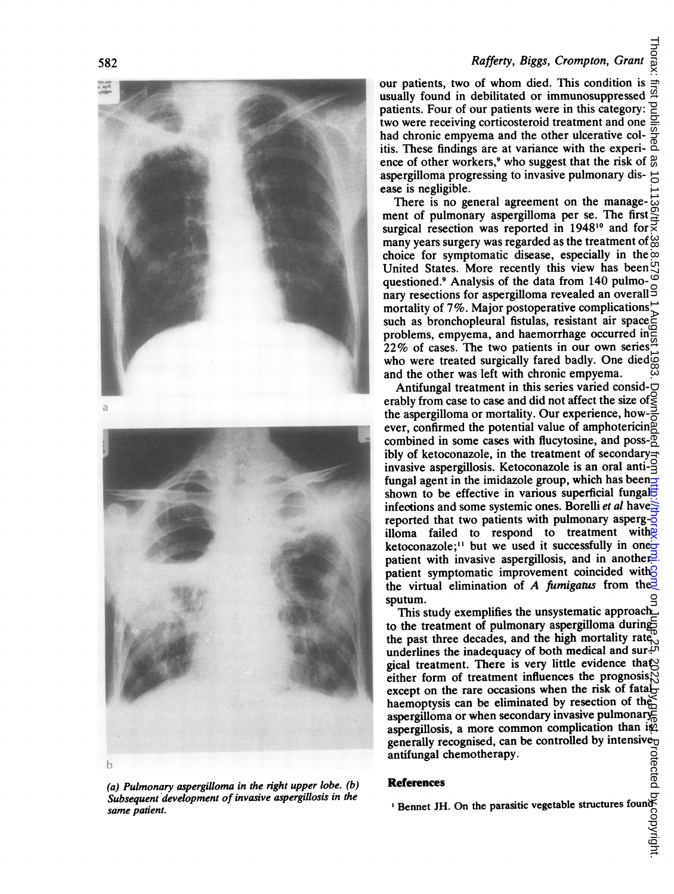# 582 Rafferty, Biggs, Crompton, Grant

Rafferty, Biggs, Crompton, Grant of the patients, two of whom died. This condition is  $\frac{1}{31}$  usually found in debilitated or immunosuppressed patients. Four of our patients were in this category: The two were receiving usually found in debilitated or immunosuppressed patients. Four of our patients were in this category: two were receiving corticosteroid treatment and one had chronic empyema and the other ulcerative colitis. These findings are at variance with the experience of other workers,<sup>9</sup> who suggest that the risk of  $\frac{8}{6}$  aspergilloma progressing to invasive pulmonary dis- $\frac{4}{6}$ aspergilloma progressing to invasive pulmonary dis-

There is no general agreement on the management of pulmonary aspergilloma per se. The first surgical resection was reported in  $1948^{10}$  and for  $\frac{12}{5}$ many years surgery was regarded as the treatment of  $\omega$ choice for symptomatic disease, especially in the United States. More recently this view has been  $\mathfrak{S}$ questioned.<sup>9</sup> Analysis of the data from 140 pulmo- $\degree$ nary resections for aspergilloma revealed an overall<sup>9</sup> mortality of 7%. Major postoperative complications  $\vec{z}$  such as bronchopleural fistulas, resistant air space such as bronchopleural fistulas, resistant air space problems, empyema, and haemorrhage occurred in  $22\%$  of cases. The two patients in our own series  $\frac{22\%}{100}$ who were treated surgically fared badly. One died $\vec{\mathcal{Q}}$ and the other was left with chronic empyema.

Antifungal treatment in this series varied consid- $\Box$ erably from case to case and did not affect the size of  $\geq$ the aspergilloma or mortality. Our experience, how- $\frac{3}{6}$ ever, confirmed the potential value of amphotericing combined in some cases with flucytosine, and poss- $\overline{6}$ comomed in some cases were neglected. invasive aspergillosis. Ketoconazole is an oral anti- $\frac{Q}{Z}$ fungal agent in the imidazole group, which has beenshown to be effective in various superficial fungal $\overline{5}$ infections and some systemic ones. Borelli et al have reported that two patients with pulmonary asperg- $\overline{6}$ illoma failed to respond to treatment with ketoconazole;<sup>11</sup> but we used it successfully in one<sub> $\sigma$ </sub> patient with invasive aspergillosis, and in another patient symptomatic improvement coincided with<sup>2</sup> the virtual elimination of A fumigatus from the  $\frac{3}{2}$ sputum. Thorax: first published as 10.1136/thx.38.8.579 on 1 August 1983. Downloaded from Diplicity. from/ On Juplish, 2022. Dy guest as 10.1136/right.

This study exemplifies the unsystematic approach to the treatment of pulmonary aspergilloma during the past three decades, and the high mortality rate underlines the inadequacy of both medical and sur- $\mathfrak{S}^{\dagger}$ gical treatment. There is very little evidence that either form of treatment influences the prognosis, $\tilde{N}$ except on the rare occasions when the risk of fatalhaemoptysis can be eliminated by resection of the aspergilloma or when secondary invasive pulmonary aspergillosis, a more common complication than is generally recognised, can be controlled by intensive-<br>antifungal chemotherapy.<br> $\begin{array}{c}\n\overrightarrow{0} \\
\overrightarrow{0} \\
\overrightarrow{0} \\
\overrightarrow{0} \\
\overrightarrow{0}\n\end{array}$ <br> **References** antifungal chemotherapy.